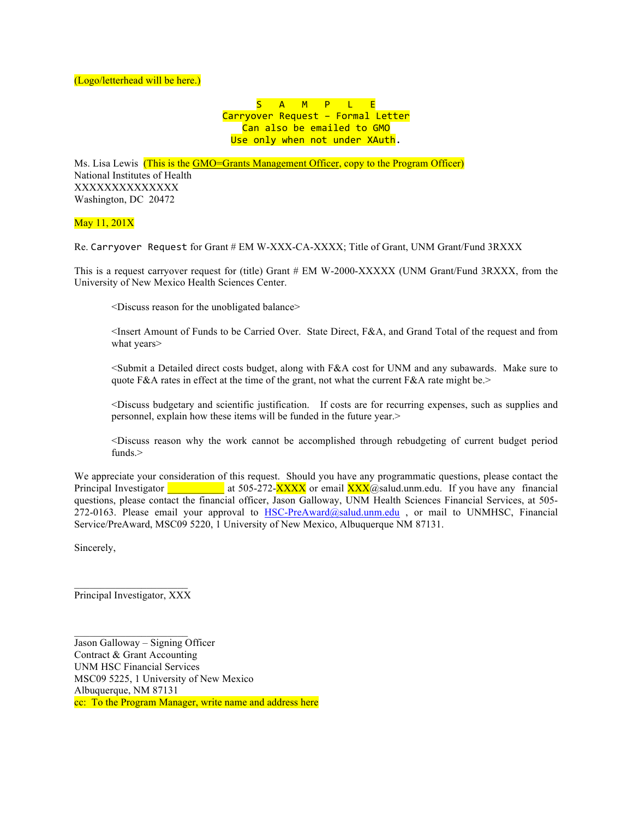S A M P L E Carryover Request - Formal Letter Can also be emailed to GMO Use only when not under XAuth.

Ms. Lisa Lewis (This is the GMO=Grants Management Officer, copy to the Program Officer) National Institutes of Health XXXXXXXXXXXXXX Washington, DC 20472

May 11, 201X

Re. Carryover Request for Grant # EM W-XXX-CA-XXXX; Title of Grant, UNM Grant/Fund 3RXXX

This is a request carryover request for (title) Grant # EM W-2000-XXXXX (UNM Grant/Fund 3RXXX, from the University of New Mexico Health Sciences Center.

<Discuss reason for the unobligated balance>

 <Insert Amount of Funds to be Carried Over. State Direct, F&A, and Grand Total of the request and from what years>

 <Submit a Detailed direct costs budget, along with F&A cost for UNM and any subawards. Make sure to quote F&A rates in effect at the time of the grant, not what the current F&A rate might be. $>$ 

 <Discuss budgetary and scientific justification. If costs are for recurring expenses, such as supplies and personnel, explain how these items will be funded in the future year.>

 <Discuss reason why the work cannot be accomplished through rebudgeting of current budget period funds.>

We appreciate your consideration of this request. Should you have any programmatic questions, please contact the Principal Investigator at 505-272- $\frac{XXXX}{X}$  or email  $\frac{XXX}{X}$  asalud.unm.edu. If you have any financial questions, please contact the financial officer, Jason Galloway, UNM Health Sciences Financial Services, at 505- 272-0163. Please email your approval to  $HSC-PreAward@salud.$ unm.edu, or mail to UNMHSC, Financial Service/PreAward, MSC09 5220, 1 University of New Mexico, Albuquerque NM 87131.

Sincerely,

Principal Investigator, XXX

 $\mathcal{L}=\mathcal{L}^{\mathcal{L}}$  , where  $\mathcal{L}^{\mathcal{L}}$  , we have the set of the set of the set of the set of the set of the set of the set of the set of the set of the set of the set of the set of the set of the set of the set of

Jason Galloway – Signing Officer Contract & Grant Accounting UNM HSC Financial Services MSC09 5225, 1 University of New Mexico Albuquerque, NM 87131 cc: To the Program Manager, write name and address here